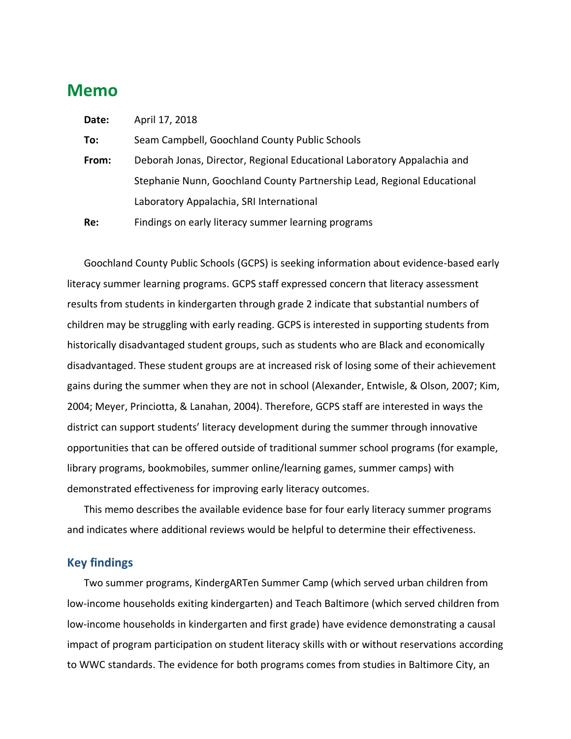# **Memo**

| Date: | April 17, 2018                                                          |
|-------|-------------------------------------------------------------------------|
| To:   | Seam Campbell, Goochland County Public Schools                          |
| From: | Deborah Jonas, Director, Regional Educational Laboratory Appalachia and |
|       | Stephanie Nunn, Goochland County Partnership Lead, Regional Educational |
|       | Laboratory Appalachia, SRI International                                |
| Re:   | Findings on early literacy summer learning programs                     |

Goochland County Public Schools (GCPS) is seeking information about evidence-based early literacy summer learning programs. GCPS staff expressed concern that literacy assessment results from students in kindergarten through grade 2 indicate that substantial numbers of children may be struggling with early reading. GCPS is interested in supporting students from historically disadvantaged student groups, such as students who are Black and economically disadvantaged. These student groups are at increased risk of losing some of their achievement gains during the summer when they are not in school (Alexander, Entwisle, & Olson, 2007; Kim, 2004; Meyer, Princiotta, & Lanahan, 2004). Therefore, GCPS staff are interested in ways the district can support students' literacy development during the summer through innovative opportunities that can be offered outside of traditional summer school programs (for example, library programs, bookmobiles, summer online/learning games, summer camps) with demonstrated effectiveness for improving early literacy outcomes.

This memo describes the available evidence base for four early literacy summer programs and indicates where additional reviews would be helpful to determine their effectiveness.

#### **Key findings**

Two summer programs, KindergARTen Summer Camp (which served urban children from low-income households exiting kindergarten) and Teach Baltimore (which served children from low-income households in kindergarten and first grade) have evidence demonstrating a causal impact of program participation on student literacy skills with or without reservations according to WWC standards. The evidence for both programs comes from studies in Baltimore City, an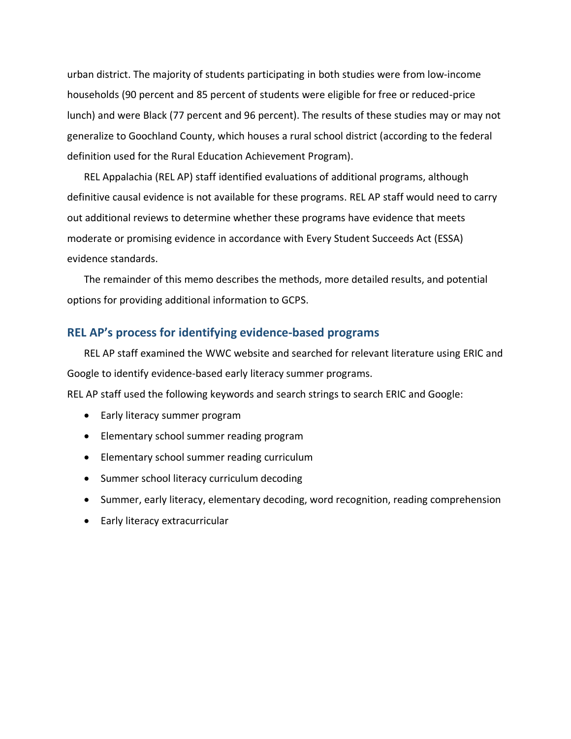urban district. The majority of students participating in both studies were from low-income households (90 percent and 85 percent of students were eligible for free or reduced-price lunch) and were Black (77 percent and 96 percent). The results of these studies may or may not generalize to Goochland County, which houses a rural school district (according to the federal definition used for the Rural Education Achievement Program).

REL Appalachia (REL AP) staff identified evaluations of additional programs, although definitive causal evidence is not available for these programs. REL AP staff would need to carry out additional reviews to determine whether these programs have evidence that meets moderate or promising evidence in accordance with Every Student Succeeds Act (ESSA) evidence standards.

The remainder of this memo describes the methods, more detailed results, and potential options for providing additional information to GCPS.

#### **REL AP's process for identifying evidence-based programs**

REL AP staff examined the WWC website and searched for relevant literature using ERIC and Google to identify evidence-based early literacy summer programs.

REL AP staff used the following keywords and search strings to search ERIC and Google:

- Early literacy summer program
- Elementary school summer reading program
- Elementary school summer reading curriculum
- Summer school literacy curriculum decoding
- Summer, early literacy, elementary decoding, word recognition, reading comprehension
- Early literacy extracurricular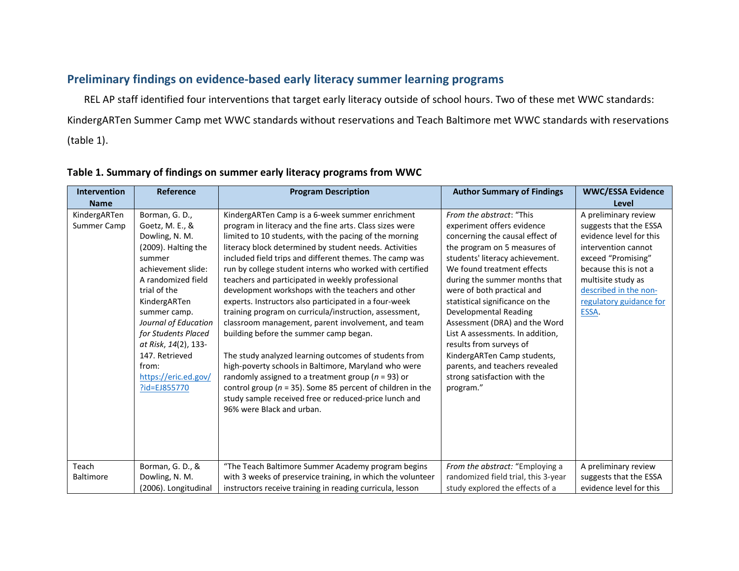## **Preliminary findings on evidence-based early literacy summer learning programs**

REL AP staff identified four interventions that target early literacy outside of school hours. Two of these met WWC standards: KindergARTen Summer Camp met WWC standards without reservations and Teach Baltimore met WWC standards with reservations (table 1).

| <b>Intervention</b>                  | <b>Reference</b>                                                                                                                                                                                                                                                                                                                               | <b>Program Description</b><br><b>Author Summary of Findings</b>                                                                                                                                                                                                                                                                                                                                                                                                                                                                                                                                                                                                                                                                                                                                                                                                                                                                                                                                                                                                            |                                                                                                                                                                                                                                                                                                                                                                                                                                                                                                                                                                               | <b>WWC/ESSA Evidence</b>                                                                                                                                                                                                                                   |
|--------------------------------------|------------------------------------------------------------------------------------------------------------------------------------------------------------------------------------------------------------------------------------------------------------------------------------------------------------------------------------------------|----------------------------------------------------------------------------------------------------------------------------------------------------------------------------------------------------------------------------------------------------------------------------------------------------------------------------------------------------------------------------------------------------------------------------------------------------------------------------------------------------------------------------------------------------------------------------------------------------------------------------------------------------------------------------------------------------------------------------------------------------------------------------------------------------------------------------------------------------------------------------------------------------------------------------------------------------------------------------------------------------------------------------------------------------------------------------|-------------------------------------------------------------------------------------------------------------------------------------------------------------------------------------------------------------------------------------------------------------------------------------------------------------------------------------------------------------------------------------------------------------------------------------------------------------------------------------------------------------------------------------------------------------------------------|------------------------------------------------------------------------------------------------------------------------------------------------------------------------------------------------------------------------------------------------------------|
| <b>Name</b>                          |                                                                                                                                                                                                                                                                                                                                                |                                                                                                                                                                                                                                                                                                                                                                                                                                                                                                                                                                                                                                                                                                                                                                                                                                                                                                                                                                                                                                                                            |                                                                                                                                                                                                                                                                                                                                                                                                                                                                                                                                                                               | Level                                                                                                                                                                                                                                                      |
| KindergARTen<br>Summer Camp<br>Teach | Borman, G. D.,<br>Goetz, M. E., &<br>Dowling, N. M.<br>(2009). Halting the<br>summer<br>achievement slide:<br>A randomized field<br>trial of the<br>KindergARTen<br>summer camp.<br>Journal of Education<br>for Students Placed<br>at Risk, 14(2), 133-<br>147. Retrieved<br>from:<br>https://eric.ed.gov/<br>?id=EJ855770<br>Borman, G. D., & | KindergARTen Camp is a 6-week summer enrichment<br>program in literacy and the fine arts. Class sizes were<br>limited to 10 students, with the pacing of the morning<br>literacy block determined by student needs. Activities<br>included field trips and different themes. The camp was<br>run by college student interns who worked with certified<br>teachers and participated in weekly professional<br>development workshops with the teachers and other<br>experts. Instructors also participated in a four-week<br>training program on curricula/instruction, assessment,<br>classroom management, parent involvement, and team<br>building before the summer camp began.<br>The study analyzed learning outcomes of students from<br>high-poverty schools in Baltimore, Maryland who were<br>randomly assigned to a treatment group ( $n = 93$ ) or<br>control group ( $n = 35$ ). Some 85 percent of children in the<br>study sample received free or reduced-price lunch and<br>96% were Black and urban.<br>"The Teach Baltimore Summer Academy program begins | From the abstract: "This<br>experiment offers evidence<br>concerning the causal effect of<br>the program on 5 measures of<br>students' literacy achievement.<br>We found treatment effects<br>during the summer months that<br>were of both practical and<br>statistical significance on the<br><b>Developmental Reading</b><br>Assessment (DRA) and the Word<br>List A assessments. In addition,<br>results from surveys of<br>KindergARTen Camp students,<br>parents, and teachers revealed<br>strong satisfaction with the<br>program."<br>From the abstract: "Employing a | A preliminary review<br>suggests that the ESSA<br>evidence level for this<br>intervention cannot<br>exceed "Promising"<br>because this is not a<br>multisite study as<br>described in the non-<br>regulatory guidance for<br>ESSA.<br>A preliminary review |
| <b>Baltimore</b>                     | Dowling, N. M.                                                                                                                                                                                                                                                                                                                                 | with 3 weeks of preservice training, in which the volunteer                                                                                                                                                                                                                                                                                                                                                                                                                                                                                                                                                                                                                                                                                                                                                                                                                                                                                                                                                                                                                | randomized field trial, this 3-year                                                                                                                                                                                                                                                                                                                                                                                                                                                                                                                                           | suggests that the ESSA                                                                                                                                                                                                                                     |
|                                      | (2006). Longitudinal                                                                                                                                                                                                                                                                                                                           | instructors receive training in reading curricula, lesson                                                                                                                                                                                                                                                                                                                                                                                                                                                                                                                                                                                                                                                                                                                                                                                                                                                                                                                                                                                                                  | study explored the effects of a                                                                                                                                                                                                                                                                                                                                                                                                                                                                                                                                               | evidence level for this                                                                                                                                                                                                                                    |

#### **Table 1. Summary of findings on summer early literacy programs from WWC**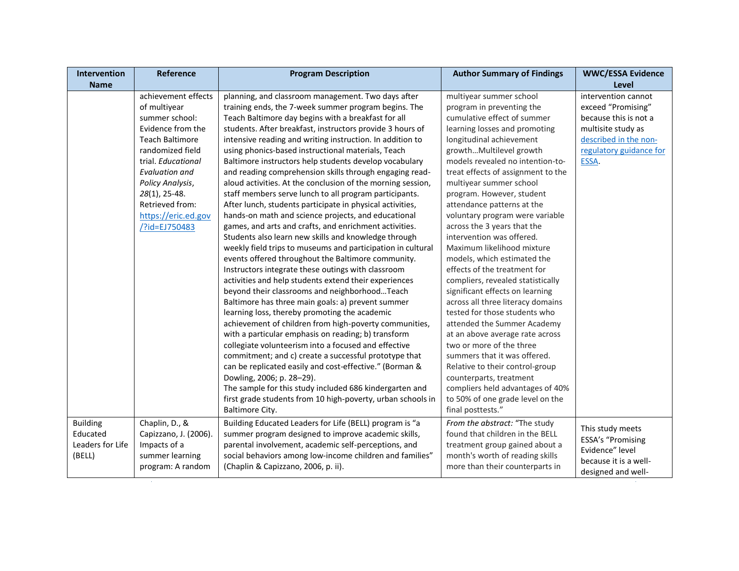| achievement effects<br>planning, and classroom management. Two days after<br>multiyear summer school<br>intervention cannot<br>of multiyear<br>training ends, the 7-week summer program begins. The<br>program in preventing the<br>exceed "Promising"<br>cumulative effect of summer<br>summer school:<br>Teach Baltimore day begins with a breakfast for all<br>because this is not a<br>Evidence from the<br>students. After breakfast, instructors provide 3 hours of<br>learning losses and promoting<br>multisite study as<br><b>Teach Baltimore</b><br>intensive reading and writing instruction. In addition to<br>longitudinal achievement<br>described in the non-<br>randomized field<br>using phonics-based instructional materials, Teach<br>growthMultilevel growth<br>regulatory guidance for<br>Baltimore instructors help students develop vocabulary<br>models revealed no intention-to-<br>ESSA.<br>trial. Educational<br>and reading comprehension skills through engaging read-<br>treat effects of assignment to the<br>Evaluation and<br>multiyear summer school<br>Policy Analysis,<br>aloud activities. At the conclusion of the morning session,<br>28(1), 25-48.<br>program. However, student<br>staff members serve lunch to all program participants.<br>Retrieved from:<br>After lunch, students participate in physical activities,<br>attendance patterns at the<br>hands-on math and science projects, and educational<br>https://eric.ed.gov<br>voluntary program were variable<br>games, and arts and crafts, and enrichment activities.<br>across the 3 years that the<br>/?id=EJ750483<br>intervention was offered.<br>Students also learn new skills and knowledge through<br>Maximum likelihood mixture<br>weekly field trips to museums and participation in cultural<br>events offered throughout the Baltimore community.<br>models, which estimated the<br>effects of the treatment for<br>Instructors integrate these outings with classroom<br>activities and help students extend their experiences<br>compliers, revealed statistically<br>significant effects on learning<br>beyond their classrooms and neighborhoodTeach<br>across all three literacy domains<br>Baltimore has three main goals: a) prevent summer<br>learning loss, thereby promoting the academic<br>tested for those students who<br>achievement of children from high-poverty communities,<br>attended the Summer Academy<br>with a particular emphasis on reading; b) transform<br>at an above average rate across<br>collegiate volunteerism into a focused and effective<br>two or more of the three<br>commitment; and c) create a successful prototype that<br>summers that it was offered.<br>can be replicated easily and cost-effective." (Borman &<br>Relative to their control-group<br>Dowling, 2006; p. 28-29).<br>counterparts, treatment<br>The sample for this study included 686 kindergarten and<br>compliers held advantages of 40%<br>first grade students from 10 high-poverty, urban schools in<br>to 50% of one grade level on the<br>Baltimore City.<br>final posttests."<br><b>Building</b><br>Chaplin, D., &<br>Building Educated Leaders for Life (BELL) program is "a<br>From the abstract: "The study<br>This study meets<br>Educated<br>summer program designed to improve academic skills,<br>found that children in the BELL<br>Capizzano, J. (2006).<br>ESSA's "Promising<br>Leaders for Life<br>Impacts of a<br>parental involvement, academic self-perceptions, and<br>treatment group gained about a<br>Evidence" level<br>(BELL)<br>summer learning<br>social behaviors among low-income children and families"<br>month's worth of reading skills<br>because it is a well-<br>more than their counterparts in<br>program: A random<br>(Chaplin & Capizzano, 2006, p. ii).<br>designed and well- | Intervention | Reference | <b>Program Description</b> | <b>Author Summary of Findings</b> | <b>WWC/ESSA Evidence</b> |
|------------------------------------------------------------------------------------------------------------------------------------------------------------------------------------------------------------------------------------------------------------------------------------------------------------------------------------------------------------------------------------------------------------------------------------------------------------------------------------------------------------------------------------------------------------------------------------------------------------------------------------------------------------------------------------------------------------------------------------------------------------------------------------------------------------------------------------------------------------------------------------------------------------------------------------------------------------------------------------------------------------------------------------------------------------------------------------------------------------------------------------------------------------------------------------------------------------------------------------------------------------------------------------------------------------------------------------------------------------------------------------------------------------------------------------------------------------------------------------------------------------------------------------------------------------------------------------------------------------------------------------------------------------------------------------------------------------------------------------------------------------------------------------------------------------------------------------------------------------------------------------------------------------------------------------------------------------------------------------------------------------------------------------------------------------------------------------------------------------------------------------------------------------------------------------------------------------------------------------------------------------------------------------------------------------------------------------------------------------------------------------------------------------------------------------------------------------------------------------------------------------------------------------------------------------------------------------------------------------------------------------------------------------------------------------------------------------------------------------------------------------------------------------------------------------------------------------------------------------------------------------------------------------------------------------------------------------------------------------------------------------------------------------------------------------------------------------------------------------------------------------------------------------------------------------------------------------------------------------------------------------------------------------------------------------------------------------------------------------------------------------------------------------------------------------------------------------------------------------------------------------------------------------------------------------------------------------------------------------------------------------------------------------------------------------------------------------------------------------------------------------------------------------------------------------------------------------------------------------|--------------|-----------|----------------------------|-----------------------------------|--------------------------|
|                                                                                                                                                                                                                                                                                                                                                                                                                                                                                                                                                                                                                                                                                                                                                                                                                                                                                                                                                                                                                                                                                                                                                                                                                                                                                                                                                                                                                                                                                                                                                                                                                                                                                                                                                                                                                                                                                                                                                                                                                                                                                                                                                                                                                                                                                                                                                                                                                                                                                                                                                                                                                                                                                                                                                                                                                                                                                                                                                                                                                                                                                                                                                                                                                                                                                                                                                                                                                                                                                                                                                                                                                                                                                                                                                                                                                                                            | <b>Name</b>  |           |                            |                                   | Level                    |
|                                                                                                                                                                                                                                                                                                                                                                                                                                                                                                                                                                                                                                                                                                                                                                                                                                                                                                                                                                                                                                                                                                                                                                                                                                                                                                                                                                                                                                                                                                                                                                                                                                                                                                                                                                                                                                                                                                                                                                                                                                                                                                                                                                                                                                                                                                                                                                                                                                                                                                                                                                                                                                                                                                                                                                                                                                                                                                                                                                                                                                                                                                                                                                                                                                                                                                                                                                                                                                                                                                                                                                                                                                                                                                                                                                                                                                                            |              |           |                            |                                   |                          |
|                                                                                                                                                                                                                                                                                                                                                                                                                                                                                                                                                                                                                                                                                                                                                                                                                                                                                                                                                                                                                                                                                                                                                                                                                                                                                                                                                                                                                                                                                                                                                                                                                                                                                                                                                                                                                                                                                                                                                                                                                                                                                                                                                                                                                                                                                                                                                                                                                                                                                                                                                                                                                                                                                                                                                                                                                                                                                                                                                                                                                                                                                                                                                                                                                                                                                                                                                                                                                                                                                                                                                                                                                                                                                                                                                                                                                                                            |              |           |                            |                                   |                          |
|                                                                                                                                                                                                                                                                                                                                                                                                                                                                                                                                                                                                                                                                                                                                                                                                                                                                                                                                                                                                                                                                                                                                                                                                                                                                                                                                                                                                                                                                                                                                                                                                                                                                                                                                                                                                                                                                                                                                                                                                                                                                                                                                                                                                                                                                                                                                                                                                                                                                                                                                                                                                                                                                                                                                                                                                                                                                                                                                                                                                                                                                                                                                                                                                                                                                                                                                                                                                                                                                                                                                                                                                                                                                                                                                                                                                                                                            |              |           |                            |                                   |                          |
|                                                                                                                                                                                                                                                                                                                                                                                                                                                                                                                                                                                                                                                                                                                                                                                                                                                                                                                                                                                                                                                                                                                                                                                                                                                                                                                                                                                                                                                                                                                                                                                                                                                                                                                                                                                                                                                                                                                                                                                                                                                                                                                                                                                                                                                                                                                                                                                                                                                                                                                                                                                                                                                                                                                                                                                                                                                                                                                                                                                                                                                                                                                                                                                                                                                                                                                                                                                                                                                                                                                                                                                                                                                                                                                                                                                                                                                            |              |           |                            |                                   |                          |
|                                                                                                                                                                                                                                                                                                                                                                                                                                                                                                                                                                                                                                                                                                                                                                                                                                                                                                                                                                                                                                                                                                                                                                                                                                                                                                                                                                                                                                                                                                                                                                                                                                                                                                                                                                                                                                                                                                                                                                                                                                                                                                                                                                                                                                                                                                                                                                                                                                                                                                                                                                                                                                                                                                                                                                                                                                                                                                                                                                                                                                                                                                                                                                                                                                                                                                                                                                                                                                                                                                                                                                                                                                                                                                                                                                                                                                                            |              |           |                            |                                   |                          |
|                                                                                                                                                                                                                                                                                                                                                                                                                                                                                                                                                                                                                                                                                                                                                                                                                                                                                                                                                                                                                                                                                                                                                                                                                                                                                                                                                                                                                                                                                                                                                                                                                                                                                                                                                                                                                                                                                                                                                                                                                                                                                                                                                                                                                                                                                                                                                                                                                                                                                                                                                                                                                                                                                                                                                                                                                                                                                                                                                                                                                                                                                                                                                                                                                                                                                                                                                                                                                                                                                                                                                                                                                                                                                                                                                                                                                                                            |              |           |                            |                                   |                          |
|                                                                                                                                                                                                                                                                                                                                                                                                                                                                                                                                                                                                                                                                                                                                                                                                                                                                                                                                                                                                                                                                                                                                                                                                                                                                                                                                                                                                                                                                                                                                                                                                                                                                                                                                                                                                                                                                                                                                                                                                                                                                                                                                                                                                                                                                                                                                                                                                                                                                                                                                                                                                                                                                                                                                                                                                                                                                                                                                                                                                                                                                                                                                                                                                                                                                                                                                                                                                                                                                                                                                                                                                                                                                                                                                                                                                                                                            |              |           |                            |                                   |                          |
|                                                                                                                                                                                                                                                                                                                                                                                                                                                                                                                                                                                                                                                                                                                                                                                                                                                                                                                                                                                                                                                                                                                                                                                                                                                                                                                                                                                                                                                                                                                                                                                                                                                                                                                                                                                                                                                                                                                                                                                                                                                                                                                                                                                                                                                                                                                                                                                                                                                                                                                                                                                                                                                                                                                                                                                                                                                                                                                                                                                                                                                                                                                                                                                                                                                                                                                                                                                                                                                                                                                                                                                                                                                                                                                                                                                                                                                            |              |           |                            |                                   |                          |
|                                                                                                                                                                                                                                                                                                                                                                                                                                                                                                                                                                                                                                                                                                                                                                                                                                                                                                                                                                                                                                                                                                                                                                                                                                                                                                                                                                                                                                                                                                                                                                                                                                                                                                                                                                                                                                                                                                                                                                                                                                                                                                                                                                                                                                                                                                                                                                                                                                                                                                                                                                                                                                                                                                                                                                                                                                                                                                                                                                                                                                                                                                                                                                                                                                                                                                                                                                                                                                                                                                                                                                                                                                                                                                                                                                                                                                                            |              |           |                            |                                   |                          |
|                                                                                                                                                                                                                                                                                                                                                                                                                                                                                                                                                                                                                                                                                                                                                                                                                                                                                                                                                                                                                                                                                                                                                                                                                                                                                                                                                                                                                                                                                                                                                                                                                                                                                                                                                                                                                                                                                                                                                                                                                                                                                                                                                                                                                                                                                                                                                                                                                                                                                                                                                                                                                                                                                                                                                                                                                                                                                                                                                                                                                                                                                                                                                                                                                                                                                                                                                                                                                                                                                                                                                                                                                                                                                                                                                                                                                                                            |              |           |                            |                                   |                          |
|                                                                                                                                                                                                                                                                                                                                                                                                                                                                                                                                                                                                                                                                                                                                                                                                                                                                                                                                                                                                                                                                                                                                                                                                                                                                                                                                                                                                                                                                                                                                                                                                                                                                                                                                                                                                                                                                                                                                                                                                                                                                                                                                                                                                                                                                                                                                                                                                                                                                                                                                                                                                                                                                                                                                                                                                                                                                                                                                                                                                                                                                                                                                                                                                                                                                                                                                                                                                                                                                                                                                                                                                                                                                                                                                                                                                                                                            |              |           |                            |                                   |                          |
|                                                                                                                                                                                                                                                                                                                                                                                                                                                                                                                                                                                                                                                                                                                                                                                                                                                                                                                                                                                                                                                                                                                                                                                                                                                                                                                                                                                                                                                                                                                                                                                                                                                                                                                                                                                                                                                                                                                                                                                                                                                                                                                                                                                                                                                                                                                                                                                                                                                                                                                                                                                                                                                                                                                                                                                                                                                                                                                                                                                                                                                                                                                                                                                                                                                                                                                                                                                                                                                                                                                                                                                                                                                                                                                                                                                                                                                            |              |           |                            |                                   |                          |
|                                                                                                                                                                                                                                                                                                                                                                                                                                                                                                                                                                                                                                                                                                                                                                                                                                                                                                                                                                                                                                                                                                                                                                                                                                                                                                                                                                                                                                                                                                                                                                                                                                                                                                                                                                                                                                                                                                                                                                                                                                                                                                                                                                                                                                                                                                                                                                                                                                                                                                                                                                                                                                                                                                                                                                                                                                                                                                                                                                                                                                                                                                                                                                                                                                                                                                                                                                                                                                                                                                                                                                                                                                                                                                                                                                                                                                                            |              |           |                            |                                   |                          |
|                                                                                                                                                                                                                                                                                                                                                                                                                                                                                                                                                                                                                                                                                                                                                                                                                                                                                                                                                                                                                                                                                                                                                                                                                                                                                                                                                                                                                                                                                                                                                                                                                                                                                                                                                                                                                                                                                                                                                                                                                                                                                                                                                                                                                                                                                                                                                                                                                                                                                                                                                                                                                                                                                                                                                                                                                                                                                                                                                                                                                                                                                                                                                                                                                                                                                                                                                                                                                                                                                                                                                                                                                                                                                                                                                                                                                                                            |              |           |                            |                                   |                          |
|                                                                                                                                                                                                                                                                                                                                                                                                                                                                                                                                                                                                                                                                                                                                                                                                                                                                                                                                                                                                                                                                                                                                                                                                                                                                                                                                                                                                                                                                                                                                                                                                                                                                                                                                                                                                                                                                                                                                                                                                                                                                                                                                                                                                                                                                                                                                                                                                                                                                                                                                                                                                                                                                                                                                                                                                                                                                                                                                                                                                                                                                                                                                                                                                                                                                                                                                                                                                                                                                                                                                                                                                                                                                                                                                                                                                                                                            |              |           |                            |                                   |                          |
|                                                                                                                                                                                                                                                                                                                                                                                                                                                                                                                                                                                                                                                                                                                                                                                                                                                                                                                                                                                                                                                                                                                                                                                                                                                                                                                                                                                                                                                                                                                                                                                                                                                                                                                                                                                                                                                                                                                                                                                                                                                                                                                                                                                                                                                                                                                                                                                                                                                                                                                                                                                                                                                                                                                                                                                                                                                                                                                                                                                                                                                                                                                                                                                                                                                                                                                                                                                                                                                                                                                                                                                                                                                                                                                                                                                                                                                            |              |           |                            |                                   |                          |
|                                                                                                                                                                                                                                                                                                                                                                                                                                                                                                                                                                                                                                                                                                                                                                                                                                                                                                                                                                                                                                                                                                                                                                                                                                                                                                                                                                                                                                                                                                                                                                                                                                                                                                                                                                                                                                                                                                                                                                                                                                                                                                                                                                                                                                                                                                                                                                                                                                                                                                                                                                                                                                                                                                                                                                                                                                                                                                                                                                                                                                                                                                                                                                                                                                                                                                                                                                                                                                                                                                                                                                                                                                                                                                                                                                                                                                                            |              |           |                            |                                   |                          |
|                                                                                                                                                                                                                                                                                                                                                                                                                                                                                                                                                                                                                                                                                                                                                                                                                                                                                                                                                                                                                                                                                                                                                                                                                                                                                                                                                                                                                                                                                                                                                                                                                                                                                                                                                                                                                                                                                                                                                                                                                                                                                                                                                                                                                                                                                                                                                                                                                                                                                                                                                                                                                                                                                                                                                                                                                                                                                                                                                                                                                                                                                                                                                                                                                                                                                                                                                                                                                                                                                                                                                                                                                                                                                                                                                                                                                                                            |              |           |                            |                                   |                          |
|                                                                                                                                                                                                                                                                                                                                                                                                                                                                                                                                                                                                                                                                                                                                                                                                                                                                                                                                                                                                                                                                                                                                                                                                                                                                                                                                                                                                                                                                                                                                                                                                                                                                                                                                                                                                                                                                                                                                                                                                                                                                                                                                                                                                                                                                                                                                                                                                                                                                                                                                                                                                                                                                                                                                                                                                                                                                                                                                                                                                                                                                                                                                                                                                                                                                                                                                                                                                                                                                                                                                                                                                                                                                                                                                                                                                                                                            |              |           |                            |                                   |                          |
|                                                                                                                                                                                                                                                                                                                                                                                                                                                                                                                                                                                                                                                                                                                                                                                                                                                                                                                                                                                                                                                                                                                                                                                                                                                                                                                                                                                                                                                                                                                                                                                                                                                                                                                                                                                                                                                                                                                                                                                                                                                                                                                                                                                                                                                                                                                                                                                                                                                                                                                                                                                                                                                                                                                                                                                                                                                                                                                                                                                                                                                                                                                                                                                                                                                                                                                                                                                                                                                                                                                                                                                                                                                                                                                                                                                                                                                            |              |           |                            |                                   |                          |
|                                                                                                                                                                                                                                                                                                                                                                                                                                                                                                                                                                                                                                                                                                                                                                                                                                                                                                                                                                                                                                                                                                                                                                                                                                                                                                                                                                                                                                                                                                                                                                                                                                                                                                                                                                                                                                                                                                                                                                                                                                                                                                                                                                                                                                                                                                                                                                                                                                                                                                                                                                                                                                                                                                                                                                                                                                                                                                                                                                                                                                                                                                                                                                                                                                                                                                                                                                                                                                                                                                                                                                                                                                                                                                                                                                                                                                                            |              |           |                            |                                   |                          |
|                                                                                                                                                                                                                                                                                                                                                                                                                                                                                                                                                                                                                                                                                                                                                                                                                                                                                                                                                                                                                                                                                                                                                                                                                                                                                                                                                                                                                                                                                                                                                                                                                                                                                                                                                                                                                                                                                                                                                                                                                                                                                                                                                                                                                                                                                                                                                                                                                                                                                                                                                                                                                                                                                                                                                                                                                                                                                                                                                                                                                                                                                                                                                                                                                                                                                                                                                                                                                                                                                                                                                                                                                                                                                                                                                                                                                                                            |              |           |                            |                                   |                          |
|                                                                                                                                                                                                                                                                                                                                                                                                                                                                                                                                                                                                                                                                                                                                                                                                                                                                                                                                                                                                                                                                                                                                                                                                                                                                                                                                                                                                                                                                                                                                                                                                                                                                                                                                                                                                                                                                                                                                                                                                                                                                                                                                                                                                                                                                                                                                                                                                                                                                                                                                                                                                                                                                                                                                                                                                                                                                                                                                                                                                                                                                                                                                                                                                                                                                                                                                                                                                                                                                                                                                                                                                                                                                                                                                                                                                                                                            |              |           |                            |                                   |                          |
|                                                                                                                                                                                                                                                                                                                                                                                                                                                                                                                                                                                                                                                                                                                                                                                                                                                                                                                                                                                                                                                                                                                                                                                                                                                                                                                                                                                                                                                                                                                                                                                                                                                                                                                                                                                                                                                                                                                                                                                                                                                                                                                                                                                                                                                                                                                                                                                                                                                                                                                                                                                                                                                                                                                                                                                                                                                                                                                                                                                                                                                                                                                                                                                                                                                                                                                                                                                                                                                                                                                                                                                                                                                                                                                                                                                                                                                            |              |           |                            |                                   |                          |
|                                                                                                                                                                                                                                                                                                                                                                                                                                                                                                                                                                                                                                                                                                                                                                                                                                                                                                                                                                                                                                                                                                                                                                                                                                                                                                                                                                                                                                                                                                                                                                                                                                                                                                                                                                                                                                                                                                                                                                                                                                                                                                                                                                                                                                                                                                                                                                                                                                                                                                                                                                                                                                                                                                                                                                                                                                                                                                                                                                                                                                                                                                                                                                                                                                                                                                                                                                                                                                                                                                                                                                                                                                                                                                                                                                                                                                                            |              |           |                            |                                   |                          |
|                                                                                                                                                                                                                                                                                                                                                                                                                                                                                                                                                                                                                                                                                                                                                                                                                                                                                                                                                                                                                                                                                                                                                                                                                                                                                                                                                                                                                                                                                                                                                                                                                                                                                                                                                                                                                                                                                                                                                                                                                                                                                                                                                                                                                                                                                                                                                                                                                                                                                                                                                                                                                                                                                                                                                                                                                                                                                                                                                                                                                                                                                                                                                                                                                                                                                                                                                                                                                                                                                                                                                                                                                                                                                                                                                                                                                                                            |              |           |                            |                                   |                          |
|                                                                                                                                                                                                                                                                                                                                                                                                                                                                                                                                                                                                                                                                                                                                                                                                                                                                                                                                                                                                                                                                                                                                                                                                                                                                                                                                                                                                                                                                                                                                                                                                                                                                                                                                                                                                                                                                                                                                                                                                                                                                                                                                                                                                                                                                                                                                                                                                                                                                                                                                                                                                                                                                                                                                                                                                                                                                                                                                                                                                                                                                                                                                                                                                                                                                                                                                                                                                                                                                                                                                                                                                                                                                                                                                                                                                                                                            |              |           |                            |                                   |                          |
|                                                                                                                                                                                                                                                                                                                                                                                                                                                                                                                                                                                                                                                                                                                                                                                                                                                                                                                                                                                                                                                                                                                                                                                                                                                                                                                                                                                                                                                                                                                                                                                                                                                                                                                                                                                                                                                                                                                                                                                                                                                                                                                                                                                                                                                                                                                                                                                                                                                                                                                                                                                                                                                                                                                                                                                                                                                                                                                                                                                                                                                                                                                                                                                                                                                                                                                                                                                                                                                                                                                                                                                                                                                                                                                                                                                                                                                            |              |           |                            |                                   |                          |
|                                                                                                                                                                                                                                                                                                                                                                                                                                                                                                                                                                                                                                                                                                                                                                                                                                                                                                                                                                                                                                                                                                                                                                                                                                                                                                                                                                                                                                                                                                                                                                                                                                                                                                                                                                                                                                                                                                                                                                                                                                                                                                                                                                                                                                                                                                                                                                                                                                                                                                                                                                                                                                                                                                                                                                                                                                                                                                                                                                                                                                                                                                                                                                                                                                                                                                                                                                                                                                                                                                                                                                                                                                                                                                                                                                                                                                                            |              |           |                            |                                   |                          |
|                                                                                                                                                                                                                                                                                                                                                                                                                                                                                                                                                                                                                                                                                                                                                                                                                                                                                                                                                                                                                                                                                                                                                                                                                                                                                                                                                                                                                                                                                                                                                                                                                                                                                                                                                                                                                                                                                                                                                                                                                                                                                                                                                                                                                                                                                                                                                                                                                                                                                                                                                                                                                                                                                                                                                                                                                                                                                                                                                                                                                                                                                                                                                                                                                                                                                                                                                                                                                                                                                                                                                                                                                                                                                                                                                                                                                                                            |              |           |                            |                                   |                          |
|                                                                                                                                                                                                                                                                                                                                                                                                                                                                                                                                                                                                                                                                                                                                                                                                                                                                                                                                                                                                                                                                                                                                                                                                                                                                                                                                                                                                                                                                                                                                                                                                                                                                                                                                                                                                                                                                                                                                                                                                                                                                                                                                                                                                                                                                                                                                                                                                                                                                                                                                                                                                                                                                                                                                                                                                                                                                                                                                                                                                                                                                                                                                                                                                                                                                                                                                                                                                                                                                                                                                                                                                                                                                                                                                                                                                                                                            |              |           |                            |                                   |                          |
|                                                                                                                                                                                                                                                                                                                                                                                                                                                                                                                                                                                                                                                                                                                                                                                                                                                                                                                                                                                                                                                                                                                                                                                                                                                                                                                                                                                                                                                                                                                                                                                                                                                                                                                                                                                                                                                                                                                                                                                                                                                                                                                                                                                                                                                                                                                                                                                                                                                                                                                                                                                                                                                                                                                                                                                                                                                                                                                                                                                                                                                                                                                                                                                                                                                                                                                                                                                                                                                                                                                                                                                                                                                                                                                                                                                                                                                            |              |           |                            |                                   |                          |
|                                                                                                                                                                                                                                                                                                                                                                                                                                                                                                                                                                                                                                                                                                                                                                                                                                                                                                                                                                                                                                                                                                                                                                                                                                                                                                                                                                                                                                                                                                                                                                                                                                                                                                                                                                                                                                                                                                                                                                                                                                                                                                                                                                                                                                                                                                                                                                                                                                                                                                                                                                                                                                                                                                                                                                                                                                                                                                                                                                                                                                                                                                                                                                                                                                                                                                                                                                                                                                                                                                                                                                                                                                                                                                                                                                                                                                                            |              |           |                            |                                   |                          |
|                                                                                                                                                                                                                                                                                                                                                                                                                                                                                                                                                                                                                                                                                                                                                                                                                                                                                                                                                                                                                                                                                                                                                                                                                                                                                                                                                                                                                                                                                                                                                                                                                                                                                                                                                                                                                                                                                                                                                                                                                                                                                                                                                                                                                                                                                                                                                                                                                                                                                                                                                                                                                                                                                                                                                                                                                                                                                                                                                                                                                                                                                                                                                                                                                                                                                                                                                                                                                                                                                                                                                                                                                                                                                                                                                                                                                                                            |              |           |                            |                                   |                          |
|                                                                                                                                                                                                                                                                                                                                                                                                                                                                                                                                                                                                                                                                                                                                                                                                                                                                                                                                                                                                                                                                                                                                                                                                                                                                                                                                                                                                                                                                                                                                                                                                                                                                                                                                                                                                                                                                                                                                                                                                                                                                                                                                                                                                                                                                                                                                                                                                                                                                                                                                                                                                                                                                                                                                                                                                                                                                                                                                                                                                                                                                                                                                                                                                                                                                                                                                                                                                                                                                                                                                                                                                                                                                                                                                                                                                                                                            |              |           |                            |                                   |                          |
|                                                                                                                                                                                                                                                                                                                                                                                                                                                                                                                                                                                                                                                                                                                                                                                                                                                                                                                                                                                                                                                                                                                                                                                                                                                                                                                                                                                                                                                                                                                                                                                                                                                                                                                                                                                                                                                                                                                                                                                                                                                                                                                                                                                                                                                                                                                                                                                                                                                                                                                                                                                                                                                                                                                                                                                                                                                                                                                                                                                                                                                                                                                                                                                                                                                                                                                                                                                                                                                                                                                                                                                                                                                                                                                                                                                                                                                            |              |           |                            |                                   |                          |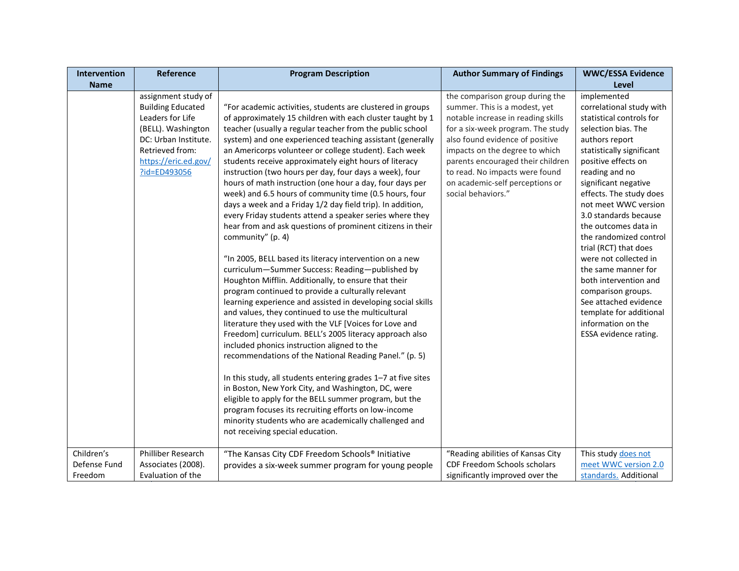| Intervention                          | <b>Reference</b>                                                                                                                                                             | <b>Program Description</b>                                                                                                                                                                                                                                                                                                                                                                                                                                                                                                                                                                                                                                                                                                                                                                                                                                                                                                                                                                                                                                                                                                                                                                                                                                                                                                                                                                                                                                                                                                                                                                                                                                                                  | <b>Author Summary of Findings</b>                                                                                                                                                                                                                                                                                                                | <b>WWC/ESSA Evidence</b>                                                                                                                                                                                                                                                                                                                                                                                                                                                                                                                                            |
|---------------------------------------|------------------------------------------------------------------------------------------------------------------------------------------------------------------------------|---------------------------------------------------------------------------------------------------------------------------------------------------------------------------------------------------------------------------------------------------------------------------------------------------------------------------------------------------------------------------------------------------------------------------------------------------------------------------------------------------------------------------------------------------------------------------------------------------------------------------------------------------------------------------------------------------------------------------------------------------------------------------------------------------------------------------------------------------------------------------------------------------------------------------------------------------------------------------------------------------------------------------------------------------------------------------------------------------------------------------------------------------------------------------------------------------------------------------------------------------------------------------------------------------------------------------------------------------------------------------------------------------------------------------------------------------------------------------------------------------------------------------------------------------------------------------------------------------------------------------------------------------------------------------------------------|--------------------------------------------------------------------------------------------------------------------------------------------------------------------------------------------------------------------------------------------------------------------------------------------------------------------------------------------------|---------------------------------------------------------------------------------------------------------------------------------------------------------------------------------------------------------------------------------------------------------------------------------------------------------------------------------------------------------------------------------------------------------------------------------------------------------------------------------------------------------------------------------------------------------------------|
| <b>Name</b>                           |                                                                                                                                                                              |                                                                                                                                                                                                                                                                                                                                                                                                                                                                                                                                                                                                                                                                                                                                                                                                                                                                                                                                                                                                                                                                                                                                                                                                                                                                                                                                                                                                                                                                                                                                                                                                                                                                                             |                                                                                                                                                                                                                                                                                                                                                  | <b>Level</b>                                                                                                                                                                                                                                                                                                                                                                                                                                                                                                                                                        |
|                                       | assignment study of<br><b>Building Educated</b><br>Leaders for Life<br>(BELL). Washington<br>DC: Urban Institute.<br>Retrieved from:<br>https://eric.ed.gov/<br>?id=ED493056 | "For academic activities, students are clustered in groups<br>of approximately 15 children with each cluster taught by 1<br>teacher (usually a regular teacher from the public school<br>system) and one experienced teaching assistant (generally<br>an Americorps volunteer or college student). Each week<br>students receive approximately eight hours of literacy<br>instruction (two hours per day, four days a week), four<br>hours of math instruction (one hour a day, four days per<br>week) and 6.5 hours of community time (0.5 hours, four<br>days a week and a Friday 1/2 day field trip). In addition,<br>every Friday students attend a speaker series where they<br>hear from and ask questions of prominent citizens in their<br>community" (p. 4)<br>"In 2005, BELL based its literacy intervention on a new<br>curriculum-Summer Success: Reading-published by<br>Houghton Mifflin. Additionally, to ensure that their<br>program continued to provide a culturally relevant<br>learning experience and assisted in developing social skills<br>and values, they continued to use the multicultural<br>literature they used with the VLF [Voices for Love and<br>Freedom] curriculum. BELL's 2005 literacy approach also<br>included phonics instruction aligned to the<br>recommendations of the National Reading Panel." (p. 5)<br>In this study, all students entering grades 1-7 at five sites<br>in Boston, New York City, and Washington, DC, were<br>eligible to apply for the BELL summer program, but the<br>program focuses its recruiting efforts on low-income<br>minority students who are academically challenged and<br>not receiving special education. | the comparison group during the<br>summer. This is a modest, yet<br>notable increase in reading skills<br>for a six-week program. The study<br>also found evidence of positive<br>impacts on the degree to which<br>parents encouraged their children<br>to read. No impacts were found<br>on academic-self perceptions or<br>social behaviors." | implemented<br>correlational study with<br>statistical controls for<br>selection bias. The<br>authors report<br>statistically significant<br>positive effects on<br>reading and no<br>significant negative<br>effects. The study does<br>not meet WWC version<br>3.0 standards because<br>the outcomes data in<br>the randomized control<br>trial (RCT) that does<br>were not collected in<br>the same manner for<br>both intervention and<br>comparison groups.<br>See attached evidence<br>template for additional<br>information on the<br>ESSA evidence rating. |
| Children's<br>Defense Fund<br>Freedom | Philliber Research<br>Associates (2008).<br>Evaluation of the                                                                                                                | "The Kansas City CDF Freedom Schools® Initiative<br>provides a six-week summer program for young people                                                                                                                                                                                                                                                                                                                                                                                                                                                                                                                                                                                                                                                                                                                                                                                                                                                                                                                                                                                                                                                                                                                                                                                                                                                                                                                                                                                                                                                                                                                                                                                     | "Reading abilities of Kansas City<br>CDF Freedom Schools scholars<br>significantly improved over the                                                                                                                                                                                                                                             | This study does not<br>meet WWC version 2.0<br>standards. Additional                                                                                                                                                                                                                                                                                                                                                                                                                                                                                                |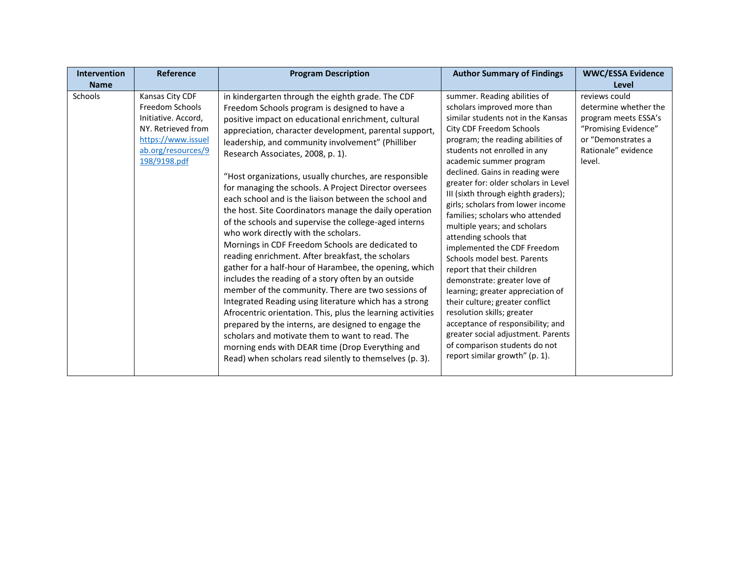| <b>Intervention</b><br><b>Name</b> | Reference                                                                                                                                   | <b>Program Description</b>                                                                                                                                                                                                                                                                                                                                                                                                                                                                                                                                                                                                                                                                                                                                                                                                                                                                                                                                                                                                                                                                                                                                                                                                                                                             | <b>Author Summary of Findings</b>                                                                                                                                                                                                                                                                                                                                                                                                                                                                                                                                                                                                                                                                                                                                                                                                                                 | <b>WWC/ESSA Evidence</b><br>Level                                                                                                             |
|------------------------------------|---------------------------------------------------------------------------------------------------------------------------------------------|----------------------------------------------------------------------------------------------------------------------------------------------------------------------------------------------------------------------------------------------------------------------------------------------------------------------------------------------------------------------------------------------------------------------------------------------------------------------------------------------------------------------------------------------------------------------------------------------------------------------------------------------------------------------------------------------------------------------------------------------------------------------------------------------------------------------------------------------------------------------------------------------------------------------------------------------------------------------------------------------------------------------------------------------------------------------------------------------------------------------------------------------------------------------------------------------------------------------------------------------------------------------------------------|-------------------------------------------------------------------------------------------------------------------------------------------------------------------------------------------------------------------------------------------------------------------------------------------------------------------------------------------------------------------------------------------------------------------------------------------------------------------------------------------------------------------------------------------------------------------------------------------------------------------------------------------------------------------------------------------------------------------------------------------------------------------------------------------------------------------------------------------------------------------|-----------------------------------------------------------------------------------------------------------------------------------------------|
| Schools                            | Kansas City CDF<br>Freedom Schools<br>Initiative. Accord,<br>NY. Retrieved from<br>https://www.issuel<br>ab.org/resources/9<br>198/9198.pdf | in kindergarten through the eighth grade. The CDF<br>Freedom Schools program is designed to have a<br>positive impact on educational enrichment, cultural<br>appreciation, character development, parental support,<br>leadership, and community involvement" (Philliber<br>Research Associates, 2008, p. 1).<br>"Host organizations, usually churches, are responsible<br>for managing the schools. A Project Director oversees<br>each school and is the liaison between the school and<br>the host. Site Coordinators manage the daily operation<br>of the schools and supervise the college-aged interns<br>who work directly with the scholars.<br>Mornings in CDF Freedom Schools are dedicated to<br>reading enrichment. After breakfast, the scholars<br>gather for a half-hour of Harambee, the opening, which<br>includes the reading of a story often by an outside<br>member of the community. There are two sessions of<br>Integrated Reading using literature which has a strong<br>Afrocentric orientation. This, plus the learning activities<br>prepared by the interns, are designed to engage the<br>scholars and motivate them to want to read. The<br>morning ends with DEAR time (Drop Everything and<br>Read) when scholars read silently to themselves (p. 3). | summer. Reading abilities of<br>scholars improved more than<br>similar students not in the Kansas<br>City CDF Freedom Schools<br>program; the reading abilities of<br>students not enrolled in any<br>academic summer program<br>declined. Gains in reading were<br>greater for: older scholars in Level<br>III (sixth through eighth graders);<br>girls; scholars from lower income<br>families; scholars who attended<br>multiple years; and scholars<br>attending schools that<br>implemented the CDF Freedom<br>Schools model best. Parents<br>report that their children<br>demonstrate: greater love of<br>learning; greater appreciation of<br>their culture; greater conflict<br>resolution skills; greater<br>acceptance of responsibility; and<br>greater social adjustment. Parents<br>of comparison students do not<br>report similar growth" (p. 1). | reviews could<br>determine whether the<br>program meets ESSA's<br>"Promising Evidence"<br>or "Demonstrates a<br>Rationale" evidence<br>level. |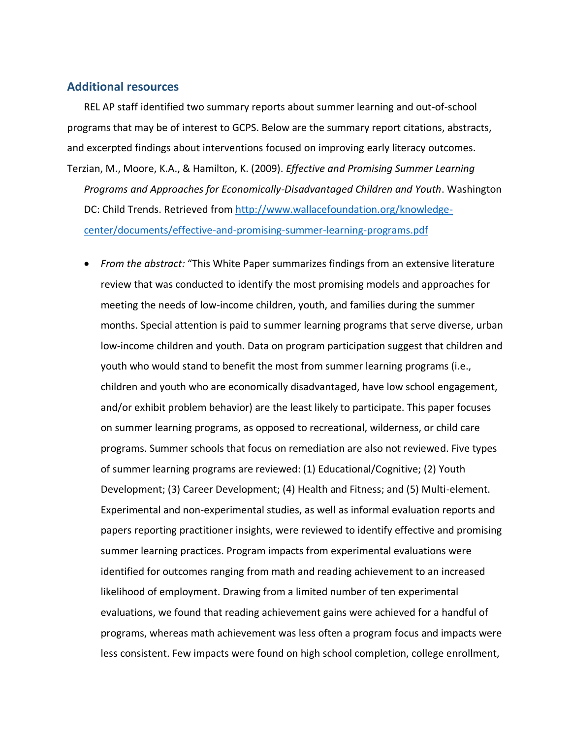#### **Additional resources**

REL AP staff identified two summary reports about summer learning and out-of-school programs that may be of interest to GCPS. Below are the summary report citations, abstracts, and excerpted findings about interventions focused on improving early literacy outcomes. Terzian, M., Moore, K.A., & Hamilton, K. (2009). *Effective and Promising Summer Learning Programs and Approaches for Economically-Disadvantaged Children and Youth*. Washington DC: Child Trends. Retrieved from [http://www.wallacefoundation.org/knowledge](http://www.wallacefoundation.org/knowledge-center/documents/effective-and-promising-summer-learning-programs.pdf)[center/documents/effective-and-promising-summer-learning-programs.pdf](http://www.wallacefoundation.org/knowledge-center/documents/effective-and-promising-summer-learning-programs.pdf)

• *From the abstract:* "This White Paper summarizes findings from an extensive literature review that was conducted to identify the most promising models and approaches for meeting the needs of low-income children, youth, and families during the summer months. Special attention is paid to summer learning programs that serve diverse, urban low-income children and youth. Data on program participation suggest that children and youth who would stand to benefit the most from summer learning programs (i.e., children and youth who are economically disadvantaged, have low school engagement, and/or exhibit problem behavior) are the least likely to participate. This paper focuses on summer learning programs, as opposed to recreational, wilderness, or child care programs. Summer schools that focus on remediation are also not reviewed. Five types of summer learning programs are reviewed: (1) Educational/Cognitive; (2) Youth Development; (3) Career Development; (4) Health and Fitness; and (5) Multi-element. Experimental and non-experimental studies, as well as informal evaluation reports and papers reporting practitioner insights, were reviewed to identify effective and promising summer learning practices. Program impacts from experimental evaluations were identified for outcomes ranging from math and reading achievement to an increased likelihood of employment. Drawing from a limited number of ten experimental evaluations, we found that reading achievement gains were achieved for a handful of programs, whereas math achievement was less often a program focus and impacts were less consistent. Few impacts were found on high school completion, college enrollment,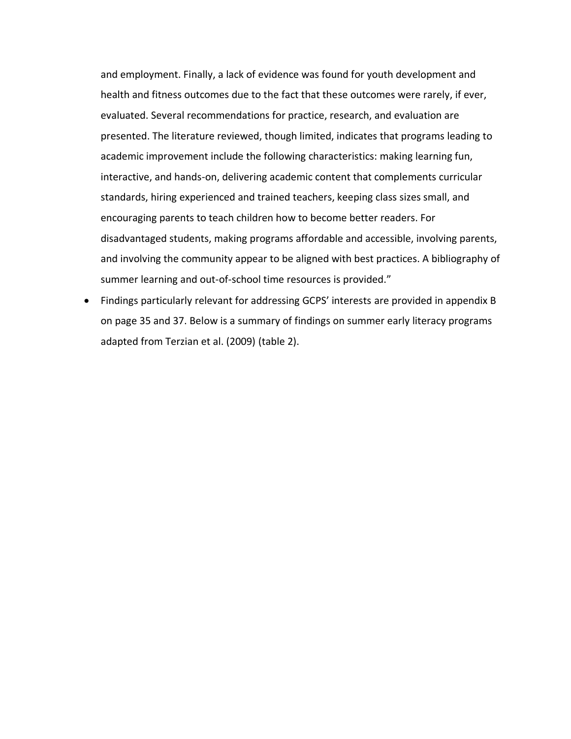and employment. Finally, a lack of evidence was found for youth development and health and fitness outcomes due to the fact that these outcomes were rarely, if ever, evaluated. Several recommendations for practice, research, and evaluation are presented. The literature reviewed, though limited, indicates that programs leading to academic improvement include the following characteristics: making learning fun, interactive, and hands-on, delivering academic content that complements curricular standards, hiring experienced and trained teachers, keeping class sizes small, and encouraging parents to teach children how to become better readers. For disadvantaged students, making programs affordable and accessible, involving parents, and involving the community appear to be aligned with best practices. A bibliography of summer learning and out-of-school time resources is provided."

• Findings particularly relevant for addressing GCPS' interests are provided in appendix B on page 35 and 37. Below is a summary of findings on summer early literacy programs adapted from Terzian et al. (2009) (table 2).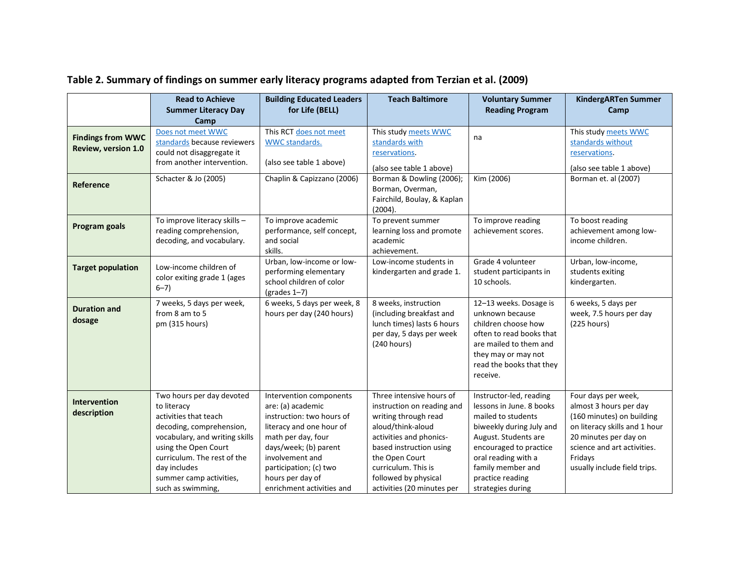|                                                 | <b>Read to Achieve</b><br><b>Summer Literacy Day</b><br>Camp                                                                                                                                                                                           | <b>Building Educated Leaders</b><br>for Life (BELL)                                                                                                                                                                                                | <b>Teach Baltimore</b>                                                                                                                                                                                                                                   | <b>Voluntary Summer</b><br><b>Reading Program</b>                                                                                                                                                                                            | <b>KindergARTen Summer</b><br>Camp                                                                                                                                                                             |
|-------------------------------------------------|--------------------------------------------------------------------------------------------------------------------------------------------------------------------------------------------------------------------------------------------------------|----------------------------------------------------------------------------------------------------------------------------------------------------------------------------------------------------------------------------------------------------|----------------------------------------------------------------------------------------------------------------------------------------------------------------------------------------------------------------------------------------------------------|----------------------------------------------------------------------------------------------------------------------------------------------------------------------------------------------------------------------------------------------|----------------------------------------------------------------------------------------------------------------------------------------------------------------------------------------------------------------|
| <b>Findings from WWC</b><br>Review, version 1.0 | Does not meet WWC<br>standards because reviewers<br>could not disaggregate it<br>from another intervention.                                                                                                                                            | This RCT does not meet<br>WWC standards.<br>(also see table 1 above)                                                                                                                                                                               | This study meets WWC<br>standards with<br>reservations.<br>(also see table 1 above)                                                                                                                                                                      | na                                                                                                                                                                                                                                           | This study meets WWC<br>standards without<br>reservations.<br>(also see table 1 above)                                                                                                                         |
| Reference                                       | Schacter & Jo (2005)                                                                                                                                                                                                                                   | Chaplin & Capizzano (2006)                                                                                                                                                                                                                         | Borman & Dowling (2006);<br>Borman, Overman,<br>Fairchild, Boulay, & Kaplan<br>(2004).                                                                                                                                                                   | Kim (2006)                                                                                                                                                                                                                                   | Borman et. al (2007)                                                                                                                                                                                           |
| Program goals                                   | To improve literacy skills -<br>reading comprehension,<br>decoding, and vocabulary.                                                                                                                                                                    | To improve academic<br>performance, self concept,<br>and social<br>skills.                                                                                                                                                                         | To prevent summer<br>learning loss and promote<br>academic<br>achievement.                                                                                                                                                                               | To improve reading<br>achievement scores.                                                                                                                                                                                                    | To boost reading<br>achievement among low-<br>income children.                                                                                                                                                 |
| <b>Target population</b>                        | Low-income children of<br>color exiting grade 1 (ages<br>$6 - 7$ )                                                                                                                                                                                     | Urban, low-income or low-<br>performing elementary<br>school children of color<br>$\frac{1}{7}$                                                                                                                                                    | Low-income students in<br>kindergarten and grade 1.                                                                                                                                                                                                      | Grade 4 volunteer<br>student participants in<br>10 schools.                                                                                                                                                                                  | Urban, low-income,<br>students exiting<br>kindergarten.                                                                                                                                                        |
| <b>Duration and</b><br>dosage                   | 7 weeks, 5 days per week,<br>from 8 am to 5<br>pm (315 hours)                                                                                                                                                                                          | 6 weeks, 5 days per week, 8<br>hours per day (240 hours)                                                                                                                                                                                           | 8 weeks, instruction<br>(including breakfast and<br>lunch times) lasts 6 hours<br>per day, 5 days per week<br>(240 hours)                                                                                                                                | 12-13 weeks. Dosage is<br>unknown because<br>children choose how<br>often to read books that<br>are mailed to them and<br>they may or may not<br>read the books that they<br>receive.                                                        | 6 weeks, 5 days per<br>week, 7.5 hours per day<br>(225 hours)                                                                                                                                                  |
| <b>Intervention</b><br>description              | Two hours per day devoted<br>to literacy<br>activities that teach<br>decoding, comprehension,<br>vocabulary, and writing skills<br>using the Open Court<br>curriculum. The rest of the<br>day includes<br>summer camp activities,<br>such as swimming, | Intervention components<br>are: (a) academic<br>instruction: two hours of<br>literacy and one hour of<br>math per day, four<br>days/week; (b) parent<br>involvement and<br>participation; (c) two<br>hours per day of<br>enrichment activities and | Three intensive hours of<br>instruction on reading and<br>writing through read<br>aloud/think-aloud<br>activities and phonics-<br>based instruction using<br>the Open Court<br>curriculum. This is<br>followed by physical<br>activities (20 minutes per | Instructor-led, reading<br>lessons in June. 8 books<br>mailed to students<br>biweekly during July and<br>August. Students are<br>encouraged to practice<br>oral reading with a<br>family member and<br>practice reading<br>strategies during | Four days per week,<br>almost 3 hours per day<br>(160 minutes) on building<br>on literacy skills and 1 hour<br>20 minutes per day on<br>science and art activities.<br>Fridays<br>usually include field trips. |

## **Table 2. Summary of findings on summer early literacy programs adapted from Terzian et al. (2009)**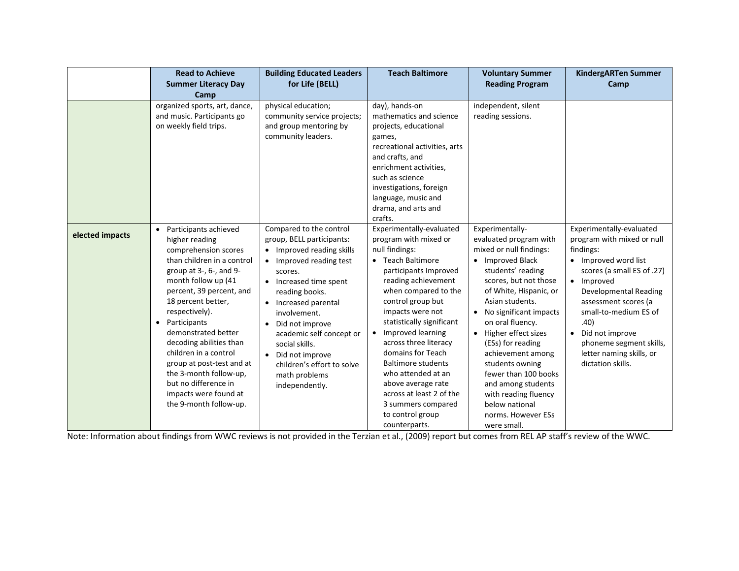|                 | <b>Read to Achieve</b>                                                                                                                                                                                                                                                                                                                                                                                                                                                     | <b>Building Educated Leaders</b>                                                                                                                                                                                                                                                                                                                                                | <b>Teach Baltimore</b>                                                                                                                                                                                                                                                                                                                                                                                                                                                      | <b>Voluntary Summer</b>                                                                                                                                                                                                                                                                                                                                                                                                                                                      | <b>KindergARTen Summer</b>                                                                                                                                                                                                                                                                                                                              |
|-----------------|----------------------------------------------------------------------------------------------------------------------------------------------------------------------------------------------------------------------------------------------------------------------------------------------------------------------------------------------------------------------------------------------------------------------------------------------------------------------------|---------------------------------------------------------------------------------------------------------------------------------------------------------------------------------------------------------------------------------------------------------------------------------------------------------------------------------------------------------------------------------|-----------------------------------------------------------------------------------------------------------------------------------------------------------------------------------------------------------------------------------------------------------------------------------------------------------------------------------------------------------------------------------------------------------------------------------------------------------------------------|------------------------------------------------------------------------------------------------------------------------------------------------------------------------------------------------------------------------------------------------------------------------------------------------------------------------------------------------------------------------------------------------------------------------------------------------------------------------------|---------------------------------------------------------------------------------------------------------------------------------------------------------------------------------------------------------------------------------------------------------------------------------------------------------------------------------------------------------|
|                 | <b>Summer Literacy Day</b>                                                                                                                                                                                                                                                                                                                                                                                                                                                 | for Life (BELL)                                                                                                                                                                                                                                                                                                                                                                 |                                                                                                                                                                                                                                                                                                                                                                                                                                                                             | <b>Reading Program</b>                                                                                                                                                                                                                                                                                                                                                                                                                                                       | Camp                                                                                                                                                                                                                                                                                                                                                    |
|                 | Camp                                                                                                                                                                                                                                                                                                                                                                                                                                                                       |                                                                                                                                                                                                                                                                                                                                                                                 |                                                                                                                                                                                                                                                                                                                                                                                                                                                                             |                                                                                                                                                                                                                                                                                                                                                                                                                                                                              |                                                                                                                                                                                                                                                                                                                                                         |
|                 | organized sports, art, dance,<br>and music. Participants go<br>on weekly field trips.                                                                                                                                                                                                                                                                                                                                                                                      | physical education;<br>community service projects;<br>and group mentoring by<br>community leaders.                                                                                                                                                                                                                                                                              | day), hands-on<br>mathematics and science<br>projects, educational<br>games,<br>recreational activities, arts<br>and crafts, and<br>enrichment activities,<br>such as science<br>investigations, foreign<br>language, music and<br>drama, and arts and<br>crafts.                                                                                                                                                                                                           | independent, silent<br>reading sessions.                                                                                                                                                                                                                                                                                                                                                                                                                                     |                                                                                                                                                                                                                                                                                                                                                         |
| elected impacts | Participants achieved<br>$\bullet$<br>higher reading<br>comprehension scores<br>than children in a control<br>group at 3-, 6-, and 9-<br>month follow up (41<br>percent, 39 percent, and<br>18 percent better,<br>respectively).<br>Participants<br>$\bullet$<br>demonstrated better<br>decoding abilities than<br>children in a control<br>group at post-test and at<br>the 3-month follow-up,<br>but no difference in<br>impacts were found at<br>the 9-month follow-up. | Compared to the control<br>group, BELL participants:<br>• Improved reading skills<br>• Improved reading test<br>scores.<br>• Increased time spent<br>reading books.<br>• Increased parental<br>involvement.<br>Did not improve<br>$\bullet$<br>academic self concept or<br>social skills.<br>• Did not improve<br>children's effort to solve<br>math problems<br>independently. | Experimentally-evaluated<br>program with mixed or<br>null findings:<br>• Teach Baltimore<br>participants Improved<br>reading achievement<br>when compared to the<br>control group but<br>impacts were not<br>statistically significant<br>• Improved learning<br>across three literacy<br>domains for Teach<br><b>Baltimore students</b><br>who attended at an<br>above average rate<br>across at least 2 of the<br>3 summers compared<br>to control group<br>counterparts. | Experimentally-<br>evaluated program with<br>mixed or null findings:<br>• Improved Black<br>students' reading<br>scores, but not those<br>of White, Hispanic, or<br>Asian students.<br>No significant impacts<br>$\bullet$<br>on oral fluency.<br>Higher effect sizes<br>$\bullet$<br>(ESs) for reading<br>achievement among<br>students owning<br>fewer than 100 books<br>and among students<br>with reading fluency<br>below national<br>norms. However ESs<br>were small. | Experimentally-evaluated<br>program with mixed or null<br>findings:<br>• Improved word list<br>scores (a small ES of .27)<br>Improved<br>$\bullet$<br><b>Developmental Reading</b><br>assessment scores (a<br>small-to-medium ES of<br>.40)<br>Did not improve<br>$\bullet$<br>phoneme segment skills,<br>letter naming skills, or<br>dictation skills. |

Note: Information about findings from WWC reviews is not provided in the Terzian et al., (2009) report but comes from REL AP staff's review of the WWC.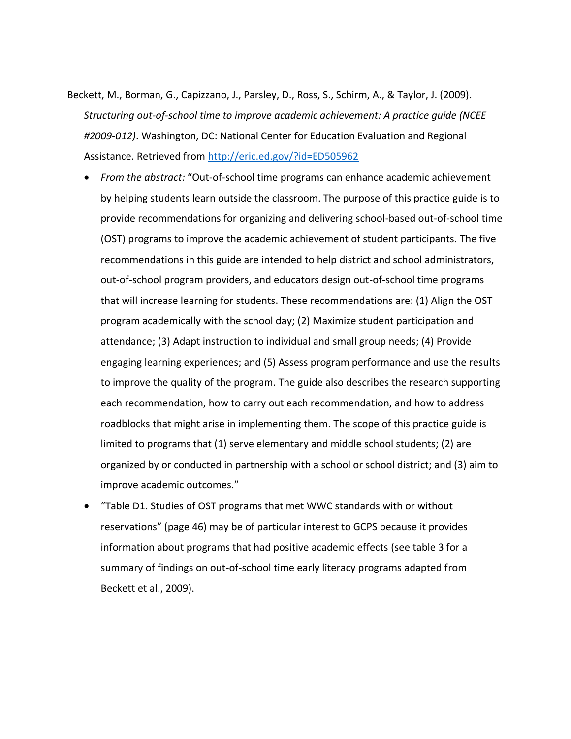- Beckett, M., Borman, G., Capizzano, J., Parsley, D., Ross, S., Schirm, A., & Taylor, J. (2009). *Structuring out-of-school time to improve academic achievement: A practice guide (NCEE #2009-012)*. Washington, DC: National Center for Education Evaluation and Regional Assistance. Retrieved from<http://eric.ed.gov/?id=ED505962>
	- *From the abstract:* "Out-of-school time programs can enhance academic achievement by helping students learn outside the classroom. The purpose of this practice guide is to provide recommendations for organizing and delivering school-based out-of-school time (OST) programs to improve the academic achievement of student participants. The five recommendations in this guide are intended to help district and school administrators, out-of-school program providers, and educators design out-of-school time programs that will increase learning for students. These recommendations are: (1) Align the OST program academically with the school day; (2) Maximize student participation and attendance; (3) Adapt instruction to individual and small group needs; (4) Provide engaging learning experiences; and (5) Assess program performance and use the results to improve the quality of the program. The guide also describes the research supporting each recommendation, how to carry out each recommendation, and how to address roadblocks that might arise in implementing them. The scope of this practice guide is limited to programs that (1) serve elementary and middle school students; (2) are organized by or conducted in partnership with a school or school district; and (3) aim to improve academic outcomes."
	- "Table D1. Studies of OST programs that met WWC standards with or without reservations" (page 46) may be of particular interest to GCPS because it provides information about programs that had positive academic effects (see table 3 for a summary of findings on out-of-school time early literacy programs adapted from Beckett et al., 2009).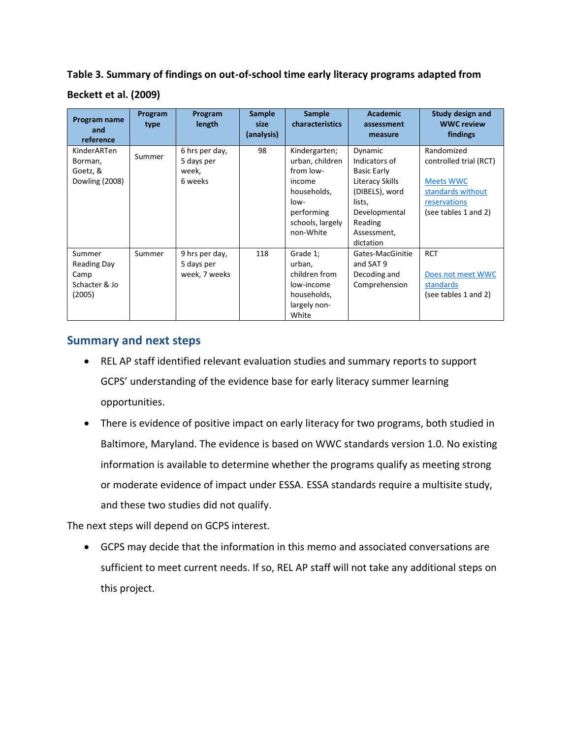**Table 3. Summary of findings on out-of-school time early literacy programs adapted from** 

#### **Beckett et al. (2009)**

| Program name<br>and<br>reference                                | Program<br>type | Program<br>length                                | <b>Sample</b><br>size<br>(analysis) | <b>Sample</b><br>characteristics                                                                                              | <b>Academic</b><br>assessment<br>measure                                                                                                              | <b>Study design and</b><br><b>WWC review</b><br>findings                                                              |
|-----------------------------------------------------------------|-----------------|--------------------------------------------------|-------------------------------------|-------------------------------------------------------------------------------------------------------------------------------|-------------------------------------------------------------------------------------------------------------------------------------------------------|-----------------------------------------------------------------------------------------------------------------------|
| KinderARTen<br>Borman,<br>Goetz, &<br>Dowling (2008)            | Summer          | 6 hrs per day,<br>5 days per<br>week,<br>6 weeks | 98                                  | Kindergarten;<br>urban, children<br>from low-<br>income<br>households,<br>low-<br>performing<br>schools, largely<br>non-White | Dynamic<br>Indicators of<br><b>Basic Early</b><br>Literacy Skills<br>(DIBELS), word<br>lists,<br>Developmental<br>Reading<br>Assessment,<br>dictation | Randomized<br>controlled trial (RCT)<br><b>Meets WWC</b><br>standards without<br>reservations<br>(see tables 1 and 2) |
| Summer<br><b>Reading Day</b><br>Camp<br>Schacter & Jo<br>(2005) | Summer          | 9 hrs per day,<br>5 days per<br>week, 7 weeks    | 118                                 | Grade 1;<br>urban,<br>children from<br>low-income<br>households,<br>largely non-<br>White                                     | Gates-MacGinitie<br>and SAT 9<br>Decoding and<br>Comprehension                                                                                        | <b>RCT</b><br>Does not meet WWC<br>standards<br>(see tables 1 and 2)                                                  |

## **Summary and next steps**

- REL AP staff identified relevant evaluation studies and summary reports to support GCPS' understanding of the evidence base for early literacy summer learning opportunities.
- There is evidence of positive impact on early literacy for two programs, both studied in Baltimore, Maryland. The evidence is based on WWC standards version 1.0. No existing information is available to determine whether the programs qualify as meeting strong or moderate evidence of impact under ESSA. ESSA standards require a multisite study, and these two studies did not qualify.

The next steps will depend on GCPS interest.

• GCPS may decide that the information in this memo and associated conversations are sufficient to meet current needs. If so, REL AP staff will not take any additional steps on this project.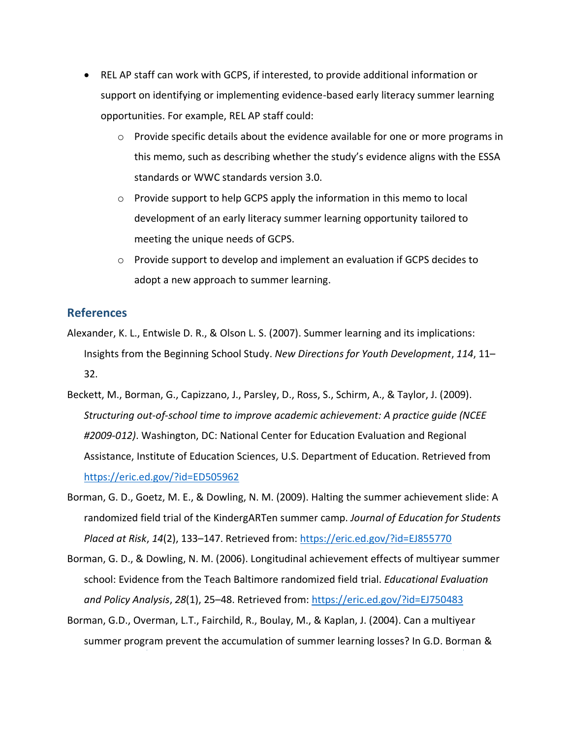- REL AP staff can work with GCPS, if interested, to provide additional information or support on identifying or implementing evidence-based early literacy summer learning opportunities. For example, REL AP staff could:
	- o Provide specific details about the evidence available for one or more programs in this memo, such as describing whether the study's evidence aligns with the ESSA standards or WWC standards version 3.0.
	- o Provide support to help GCPS apply the information in this memo to local development of an early literacy summer learning opportunity tailored to meeting the unique needs of GCPS.
	- $\circ$  Provide support to develop and implement an evaluation if GCPS decides to adopt a new approach to summer learning.

#### **References**

- Alexander, K. L., Entwisle D. R., & Olson L. S. (2007). Summer learning and its implications: Insights from the Beginning School Study. *New Directions for Youth Development*, *114*, 11– 32.
- Beckett, M., Borman, G., Capizzano, J., Parsley, D., Ross, S., Schirm, A., & Taylor, J. (2009). *Structuring out-of-school time to improve academic achievement: A practice guide (NCEE #2009-012)*. Washington, DC: National Center for Education Evaluation and Regional Assistance, Institute of Education Sciences, U.S. Department of Education. Retrieved from <https://eric.ed.gov/?id=ED505962>
- Borman, G. D., Goetz, M. E., & Dowling, N. M. (2009). Halting the summer achievement slide: A randomized field trial of the KindergARTen summer camp. *Journal of Education for Students Placed at Risk*, *14*(2), 133–147. Retrieved from[: https://eric.ed.gov/?id=EJ855770](https://eric.ed.gov/?id=EJ855770)
- Borman, G. D., & Dowling, N. M. (2006). Longitudinal achievement effects of multiyear summer school: Evidence from the Teach Baltimore randomized field trial. *Educational Evaluation and Policy Analysis*, *28*(1), 25–48. Retrieved from:<https://eric.ed.gov/?id=EJ750483>
- Borman, G.D., Overman, L.T., Fairchild, R., Boulay, M., & Kaplan, J. (2004). Can a multiyear summer program prevent the accumulation of summer learning losses? In G.D. Borman &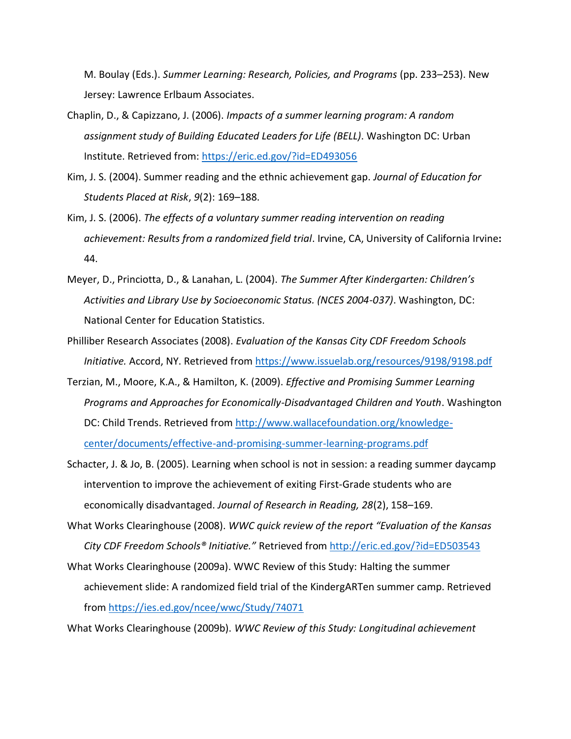M. Boulay (Eds.). *Summer Learning: Research, Policies, and Programs* (pp. 233–253). New Jersey: Lawrence Erlbaum Associates.

- Chaplin, D., & Capizzano, J. (2006). *Impacts of a summer learning program: A random assignment study of Building Educated Leaders for Life (BELL)*. Washington DC: Urban Institute. Retrieved from:<https://eric.ed.gov/?id=ED493056>
- Kim, J. S. (2004). Summer reading and the ethnic achievement gap. *Journal of Education for Students Placed at Risk*, *9*(2): 169–188.
- Kim, J. S. (2006). *The effects of a voluntary summer reading intervention on reading achievement: Results from a randomized field trial*. Irvine, CA, University of California Irvine**:**  44.
- Meyer, D., Princiotta, D., & Lanahan, L. (2004). *The Summer After Kindergarten: Children's Activities and Library Use by Socioeconomic Status. (NCES 2004-037)*. Washington, DC: National Center for Education Statistics.
- Philliber Research Associates (2008). *Evaluation of the Kansas City CDF Freedom Schools Initiative.* Accord, NY. Retrieved fro[m https://www.issuelab.org/resources/9198/9198.pdf](https://www.issuelab.org/resources/9198/9198.pdf)
- Terzian, M., Moore, K.A., & Hamilton, K. (2009). *Effective and Promising Summer Learning Programs and Approaches for Economically-Disadvantaged Children and Youth*. Washington DC: Child Trends. Retrieved from [http://www.wallacefoundation.org/knowledge](http://www.wallacefoundation.org/knowledge-center/documents/effective-and-promising-summer-learning-programs.pdf)[center/documents/effective-and-promising-summer-learning-programs.pdf](http://www.wallacefoundation.org/knowledge-center/documents/effective-and-promising-summer-learning-programs.pdf)
- Schacter, J. & Jo, B. (2005). Learning when school is not in session: a reading summer daycamp intervention to improve the achievement of exiting First-Grade students who are economically disadvantaged. *Journal of Research in Reading, 28*(2), 158–169.
- What Works Clearinghouse (2008). *WWC quick review of the report "Evaluation of the Kansas City CDF Freedom Schools® Initiative."* Retrieved from<http://eric.ed.gov/?id=ED503543>
- What Works Clearinghouse (2009a). WWC Review of this Study: Halting the summer achievement slide: A randomized field trial of the KindergARTen summer camp. Retrieved from<https://ies.ed.gov/ncee/wwc/Study/74071>

What Works Clearinghouse (2009b). *WWC Review of this Study: Longitudinal achievement*